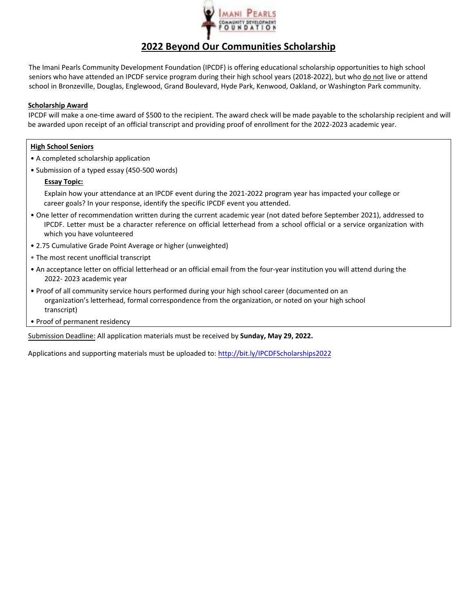

# **2022 Beyond Our Communities Scholarship**

The Imani Pearls Community Development Foundation (IPCDF) is offering educational scholarship opportunities to high school seniors who have attended an IPCDF service program during their high school years (2018-2022), but who do not live or attend school in Bronzeville, Douglas, Englewood, Grand Boulevard, Hyde Park, Kenwood, Oakland, or Washington Park community.

### **Scholarship Award**

IPCDF will make a one‐time award of \$500 to the recipient. The award check will be made payable to the scholarship recipient and will be awarded upon receipt of an official transcript and providing proof of enrollment for the 2022‐2023 academic year.

## **High School Seniors**

- A completed scholarship application
- Submission of a typed essay (450-500 words)

## **Essay Topic:**

Explain how your attendance at an IPCDF event during the 2021-2022 program year has impacted your college or career goals? In your response, identify the specific IPCDF event you attended.

- One letter of recommendation written during the current academic year (not dated before September 2021), addressed to IPCDF. Letter must be a character reference on official letterhead from a school official or a service organization with which you have volunteered
- 2.75 Cumulative Grade Point Average or higher (unweighted)
- The most recent unofficial transcript
- An acceptance letter on official letterhead or an official email from the four‐year institution you will attend during the 2022‐ 2023 academic year
- Proof of all community service hours performed during your high school career (documented on an organization's letterhead, formal correspondence from the organization, or noted on your high school transcript)
- Proof of permanent residency

Submission Deadline: All application materials must be received by **Sunday, May 29, 2022.** 

Applications and supporting materials must be uploaded to: http://bit.ly/IPCDFScholarships2022